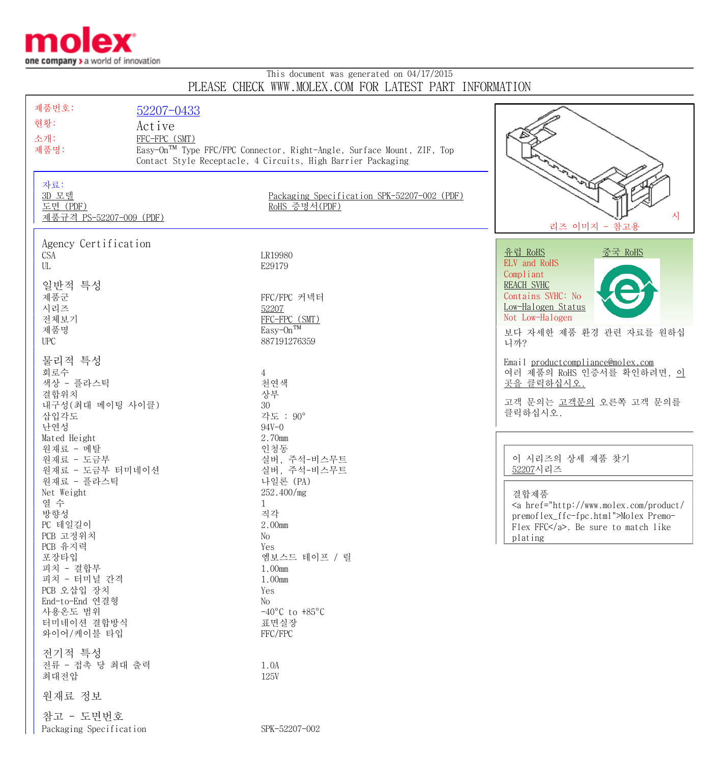

## This document was generated on 04/17/2015 PLEASE CHECK WWW.MOLEX.COM FOR LATEST PART INFORMATION

| 제품번호:                                               | 52207-0433    |                                                                       |                                                      |
|-----------------------------------------------------|---------------|-----------------------------------------------------------------------|------------------------------------------------------|
| 현황:                                                 | Active        |                                                                       |                                                      |
| 소개:                                                 | FFC-FPC (SMT) |                                                                       |                                                      |
| 제품명:                                                |               | Easy-On™ Type FFC/FPC Connector, Right-Angle, Surface Mount, ZIF, Top |                                                      |
|                                                     |               | Contact Style Receptacle, 4 Circuits, High Barrier Packaging          |                                                      |
| 자료:<br>3D 모델<br>도면 (PDF)<br>제품규격 PS-52207-009 (PDF) |               | Packaging Specification SPK-52207-002 (PDF)<br>RoHS 증명서(PDF)          | 시<br>리즈 이미지 - 참고용                                    |
| Agency Certification                                |               |                                                                       |                                                      |
| <b>CSA</b>                                          |               | LR19980                                                               | 유럽 RoHS<br><u>중국 RoHS</u><br>ELV and RoHS            |
| $\ensuremath{\text{UL}}$                            |               | E29179                                                                | Compliant                                            |
| 일반적 특성                                              |               |                                                                       | <b>REACH SVHC</b>                                    |
| 제품군                                                 |               | FFC/FPC 커넥터                                                           | Contains SVHC: No                                    |
| 시리즈                                                 |               | 52207                                                                 | Low-Halogen Status                                   |
| 전체보기<br>제품명                                         |               | FFC-FPC (SMT)<br>Easy-On <sup>TM</sup>                                | Not Low-Halogen                                      |
| ${\rm UPC}$                                         |               | 887191276359                                                          | 보다 자세한 제품 환경 관련 자료를 원하십<br>니까?                       |
| 물리적 특성                                              |               |                                                                       | Email productcompliance@molex.com                    |
| 회로수                                                 |               | $\overline{4}$                                                        | 여러 제품의 RoHS 인증서를 확인하려면, 이                            |
| 색상 - 플라스틱                                           |               | 천연색                                                                   | 곳을 클릭하십시오.                                           |
| 결합위치                                                |               | 상부                                                                    | 고객 문의는 고객문의 오른쪽 고객 문의를                               |
| 내구성(최대 메이팅 사이클)                                     |               | 30<br>각도 : 90°                                                        | 클릭하십시오.                                              |
| 삽입각도<br>난연성                                         |               | $94V - 0$                                                             |                                                      |
| Mated Height                                        |               | 2.70mm                                                                |                                                      |
| 원재료 - 메탈                                            |               | 인청동                                                                   |                                                      |
| 원재료 - 도금부                                           |               | 실버, 주석-비스무트                                                           | 이 시리즈의 상세 제품 찾기                                      |
| 원재료 - 도금부 터미네이션                                     |               | 실버, 주석-비스무트                                                           | 52207시리즈                                             |
| 원재료 - 플라스틱<br>Net Weight                            |               | 나일론 (PA)<br>252.400/mg                                                |                                                      |
| 열 수                                                 |               | 1                                                                     | 결합제품<br>$\alpha$ href="http://www.molex.com/product/ |
| 방향성                                                 |               | 직각                                                                    | premoflex_ffc-fpc.html">Molex Premo-                 |
| PC 테일길이                                             |               | 2.00mm                                                                | Flex FFC. Be sure to match like                      |
| PCB 고정위치                                            |               | No                                                                    | plating                                              |
| PCB 유지력<br>포장타입                                     |               | Yes<br>엠보스드 테이프 / 릴                                                   |                                                      |
| 피치 - 결합부                                            |               | 1.00mm                                                                |                                                      |
| 피치 - 터미널 간격                                         |               | 1.00mm                                                                |                                                      |
| PCB 오삽입 장치                                          |               | Yes                                                                   |                                                      |
| End-to-End 연결형                                      |               | No                                                                    |                                                      |
| 사용온도 범위<br>터미네이션 결합방식                               |               | $-40^{\circ}$ C to $+85^{\circ}$ C<br>표면실장                            |                                                      |
| 와이어/케이블 타입                                          |               | FFC/FPC                                                               |                                                      |
|                                                     |               |                                                                       |                                                      |
| 전기적 특성<br>전류 - 접촉 당 최대 출력                           |               | 1.0A                                                                  |                                                      |
| 최대전압                                                |               | <b>125V</b>                                                           |                                                      |
|                                                     |               |                                                                       |                                                      |
| 원재료 정보                                              |               |                                                                       |                                                      |
| 참고 - 도면번호                                           |               |                                                                       |                                                      |
| Packaging Specification                             |               | SPK-52207-002                                                         |                                                      |